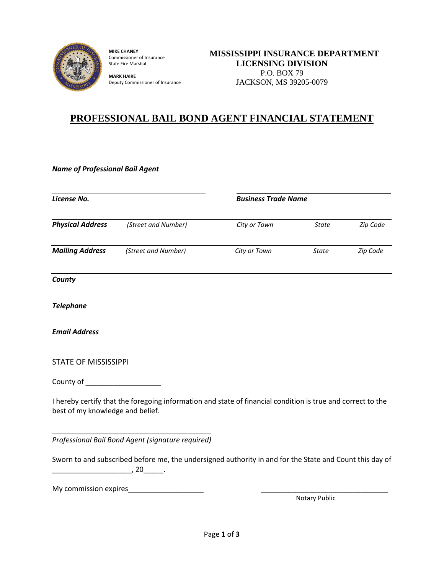

**MIKE CHANEY** Commissioner of Insurance State Fire Marshal

**MARK HAIRE** Deputy Commissioner of Insurance

## **PROFESSIONAL BAIL BOND AGENT FINANCIAL STATEMENT**

| <b>Name of Professional Bail Agent</b> |                                                                                                                     |                            |               |          |  |  |
|----------------------------------------|---------------------------------------------------------------------------------------------------------------------|----------------------------|---------------|----------|--|--|
| License No.                            |                                                                                                                     | <b>Business Trade Name</b> |               |          |  |  |
| <b>Physical Address</b>                | (Street and Number)                                                                                                 | City or Town               | <b>State</b>  | Zip Code |  |  |
| <b>Mailing Address</b>                 | (Street and Number)                                                                                                 | City or Town               | <b>State</b>  | Zip Code |  |  |
| County                                 |                                                                                                                     |                            |               |          |  |  |
| <b>Telephone</b>                       |                                                                                                                     |                            |               |          |  |  |
| <b>Email Address</b>                   |                                                                                                                     |                            |               |          |  |  |
| <b>STATE OF MISSISSIPPI</b>            |                                                                                                                     |                            |               |          |  |  |
| County of _____________________        |                                                                                                                     |                            |               |          |  |  |
| best of my knowledge and belief.       | I hereby certify that the foregoing information and state of financial condition is true and correct to the         |                            |               |          |  |  |
|                                        | Professional Bail Bond Agent (signature required)                                                                   |                            |               |          |  |  |
|                                        | Sworn to and subscribed before me, the undersigned authority in and for the State and Count this day of<br>$, 20$ . |                            |               |          |  |  |
|                                        | My commission expires                                                                                               |                            | Notary Public |          |  |  |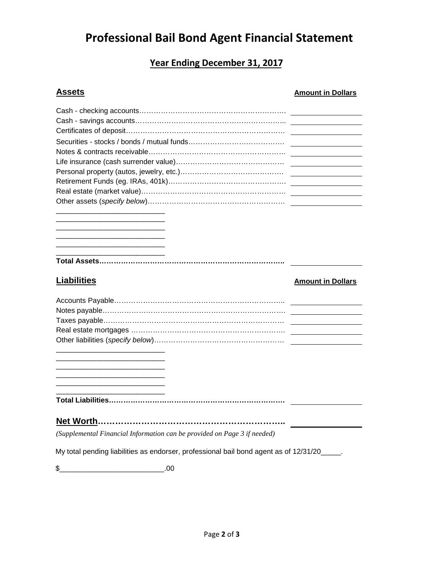## **Professional Bail Bond Agent Financial Statement**

## **Year Ending December 31, 2017**

| <b>Assets</b>                                                                         | <b>Amount in Dollars</b> |
|---------------------------------------------------------------------------------------|--------------------------|
|                                                                                       |                          |
|                                                                                       |                          |
|                                                                                       |                          |
|                                                                                       |                          |
|                                                                                       |                          |
|                                                                                       |                          |
|                                                                                       |                          |
|                                                                                       |                          |
|                                                                                       |                          |
|                                                                                       |                          |
|                                                                                       |                          |
|                                                                                       |                          |
|                                                                                       |                          |
|                                                                                       |                          |
|                                                                                       |                          |
|                                                                                       |                          |
|                                                                                       |                          |
| <b>Liabilities</b>                                                                    |                          |
|                                                                                       | <b>Amount in Dollars</b> |
|                                                                                       |                          |
|                                                                                       |                          |
|                                                                                       |                          |
|                                                                                       |                          |
|                                                                                       |                          |
|                                                                                       |                          |
|                                                                                       |                          |
|                                                                                       |                          |
|                                                                                       |                          |
|                                                                                       |                          |
|                                                                                       |                          |
|                                                                                       |                          |
|                                                                                       |                          |
|                                                                                       |                          |
| (Supplemental Financial Information can be provided on Page 3 if needed)              |                          |
| My total pending liabilities as endorser, professional bail bond agent as of 12/31/20 |                          |

\$\_\_\_\_\_\_\_\_\_\_\_\_\_\_\_\_\_\_\_\_\_\_\_\_\_\_.00